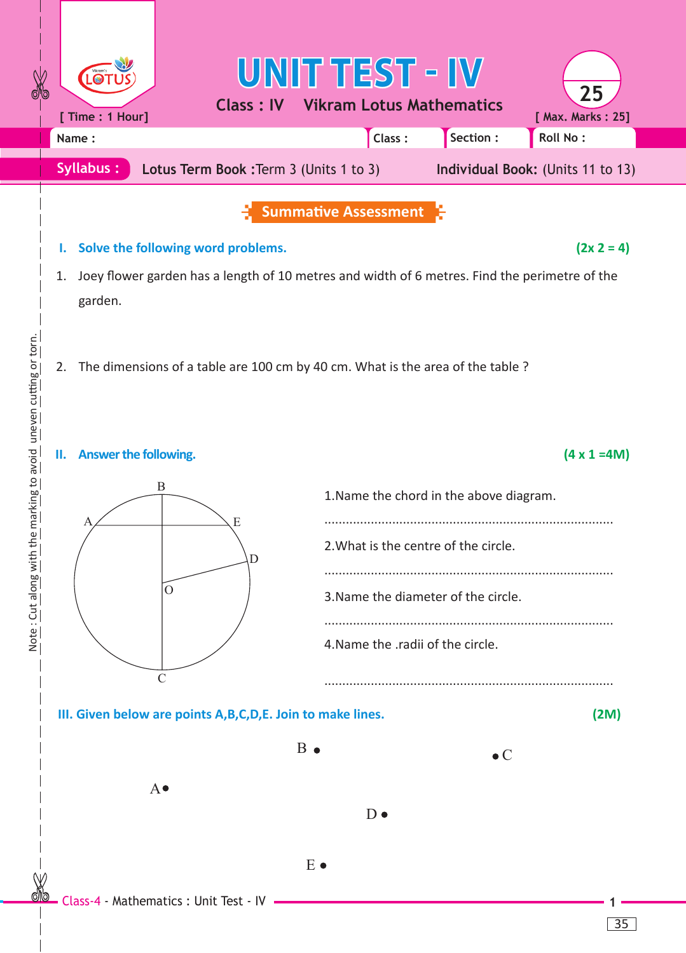| $\frac{1}{\sqrt{6}}$                                                                                           |                           | [ Time : 1 Hour]                                                                        | <b>Class: IV</b>                         | UNIT TEST - IV |                                     | <b>Vikram Lotus Mathematics</b>         | 25<br>[ Max. Marks: 25]           |  |  |
|----------------------------------------------------------------------------------------------------------------|---------------------------|-----------------------------------------------------------------------------------------|------------------------------------------|----------------|-------------------------------------|-----------------------------------------|-----------------------------------|--|--|
|                                                                                                                |                           | Name:                                                                                   |                                          |                | Class:                              | Section :                               | Roll No:                          |  |  |
|                                                                                                                |                           | <b>Syllabus:</b>                                                                        | Lotus Term Book : Term 3 (Units 1 to 3)  |                |                                     |                                         | Individual Book: (Units 11 to 13) |  |  |
|                                                                                                                |                           | <b>Summative Assessment</b>                                                             |                                          |                |                                     |                                         |                                   |  |  |
| Solve the following word problems.<br>ι.                                                                       |                           |                                                                                         |                                          |                |                                     |                                         | $(2x 2 = 4)$                      |  |  |
| Joey flower garden has a length of 10 metres and width of 6 metres. Find the perimetre of the<br>1.<br>garden. |                           |                                                                                         |                                          |                |                                     |                                         |                                   |  |  |
| n the marking to avoid uneven cutting or torn.                                                                 |                           | The dimensions of a table are 100 cm by 40 cm. What is the area of the table ?<br>2.    |                                          |                |                                     |                                         |                                   |  |  |
|                                                                                                                |                           | Answer the following.<br>Ш.                                                             |                                          |                |                                     |                                         | $(4 \times 1 = 4M)$               |  |  |
|                                                                                                                | B                         |                                                                                         |                                          |                |                                     | 1. Name the chord in the above diagram. |                                   |  |  |
|                                                                                                                |                           |                                                                                         | Е<br>D<br>$\Omega$                       |                |                                     | 2. What is the centre of the circle.    |                                   |  |  |
|                                                                                                                |                           |                                                                                         |                                          |                | 3. Name the diameter of the circle. |                                         |                                   |  |  |
| Note: Cut along with                                                                                           |                           |                                                                                         |                                          |                | 4. Name the .radii of the circle.   |                                         |                                   |  |  |
|                                                                                                                |                           | $\mathcal{C}$<br>III. Given below are points A, B, C, D, E. Join to make lines.<br>(2M) |                                          |                |                                     |                                         |                                   |  |  |
|                                                                                                                | $B\bullet$<br>$\bullet$ C |                                                                                         |                                          |                |                                     |                                         |                                   |  |  |
| $A \bullet$<br>$D \bullet$                                                                                     |                           |                                                                                         |                                          |                |                                     |                                         |                                   |  |  |
|                                                                                                                |                           |                                                                                         |                                          | $E \bullet$    |                                     |                                         |                                   |  |  |
|                                                                                                                |                           |                                                                                         | Class-4 - Mathematics : Unit Test - IV - |                |                                     |                                         |                                   |  |  |

Note: Cut along with the marking to avoid uneven cutting or torn. Note : Cut along with the marking to avoid uneven cutting or torn.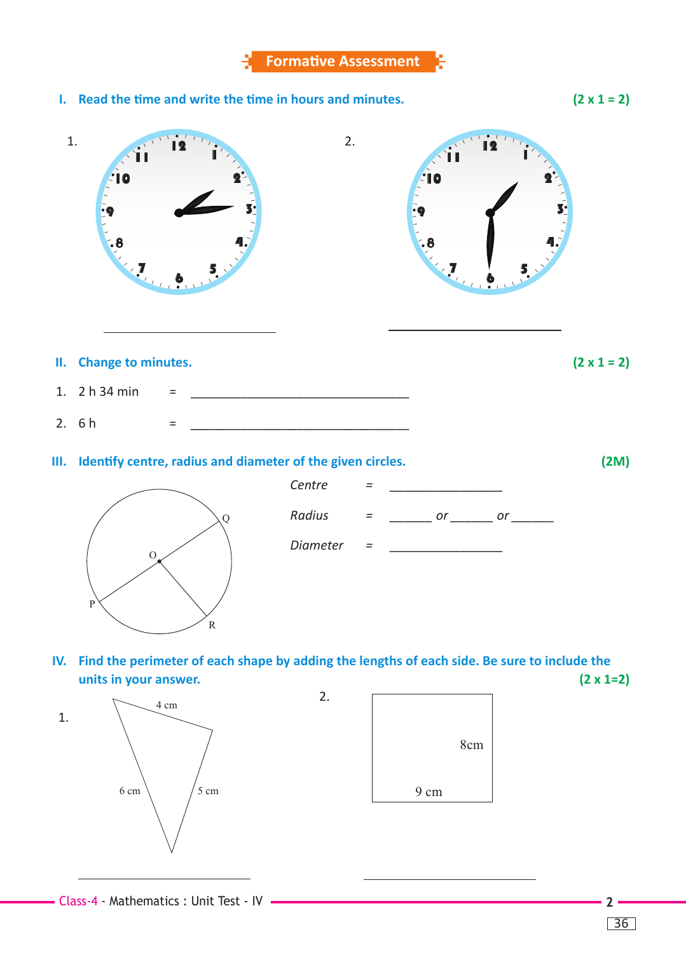**I. Read the time and write the time in hours and minutes. (2 x 1 = 2)**



 $\overline{\phantom{a}}$ 

36

2 m

13 cm